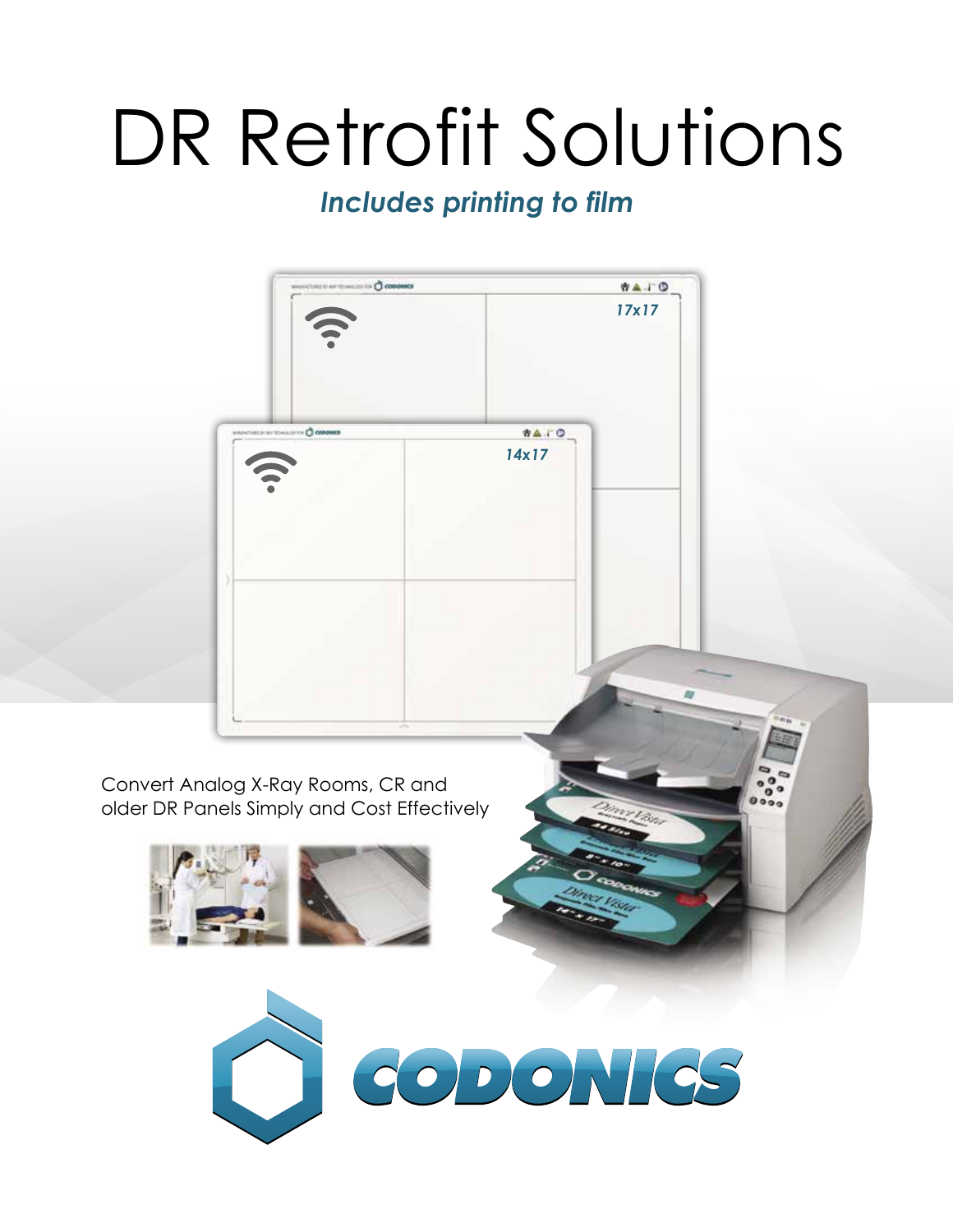# DR Retrofit Solutions

### *Includes printing to film*

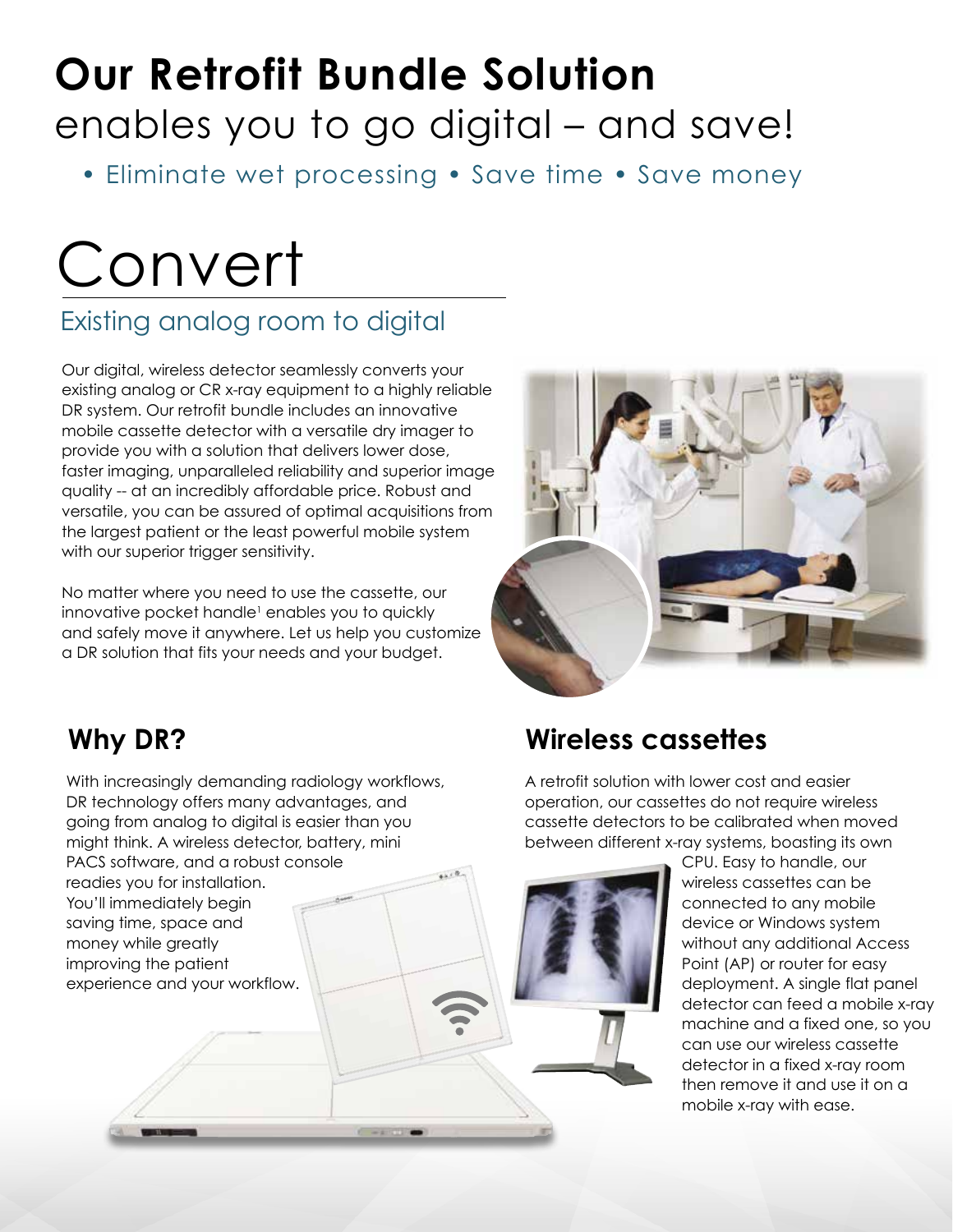### **Our Retrofit Bundle Solution** enables you to go digital – and save!

• Eliminate wet processing • Save time • Save money

# Convert

### Existing analog room to digital

Our digital, wireless detector seamlessly converts your existing analog or CR x-ray equipment to a highly reliable DR system. Our retrofit bundle includes an innovative mobile cassette detector with a versatile dry imager to provide you with a solution that delivers lower dose, faster imaging, unparalleled reliability and superior image quality -- at an incredibly affordable price. Robust and versatile, you can be assured of optimal acquisitions from the largest patient or the least powerful mobile system with our superior trigger sensitivity.

No matter where you need to use the cassette, our innovative pocket handle<sup>1</sup> enables you to quickly and safely move it anywhere. Let us help you customize a DR solution that fits your needs and your budget.



### **Why DR?**

With increasingly demanding radiology workflows, DR technology offers many advantages, and going from analog to digital is easier than you might think. A wireless detector, battery, mini PACS software, and a robust console readies you for installation. You'll immediately begin saving time, space and money while greatly improving the patient experience and your workflow.

### **Wireless cassettes**

A retrofit solution with lower cost and easier operation, our cassettes do not require wireless cassette detectors to be calibrated when moved between different x-ray systems, boasting its own

> CPU. Easy to handle, our wireless cassettes can be connected to any mobile device or Windows system without any additional Access Point (AP) or router for easy deployment. A single flat panel detector can feed a mobile x-ray machine and a fixed one, so you can use our wireless cassette detector in a fixed x-ray room then remove it and use it on a mobile x-ray with ease.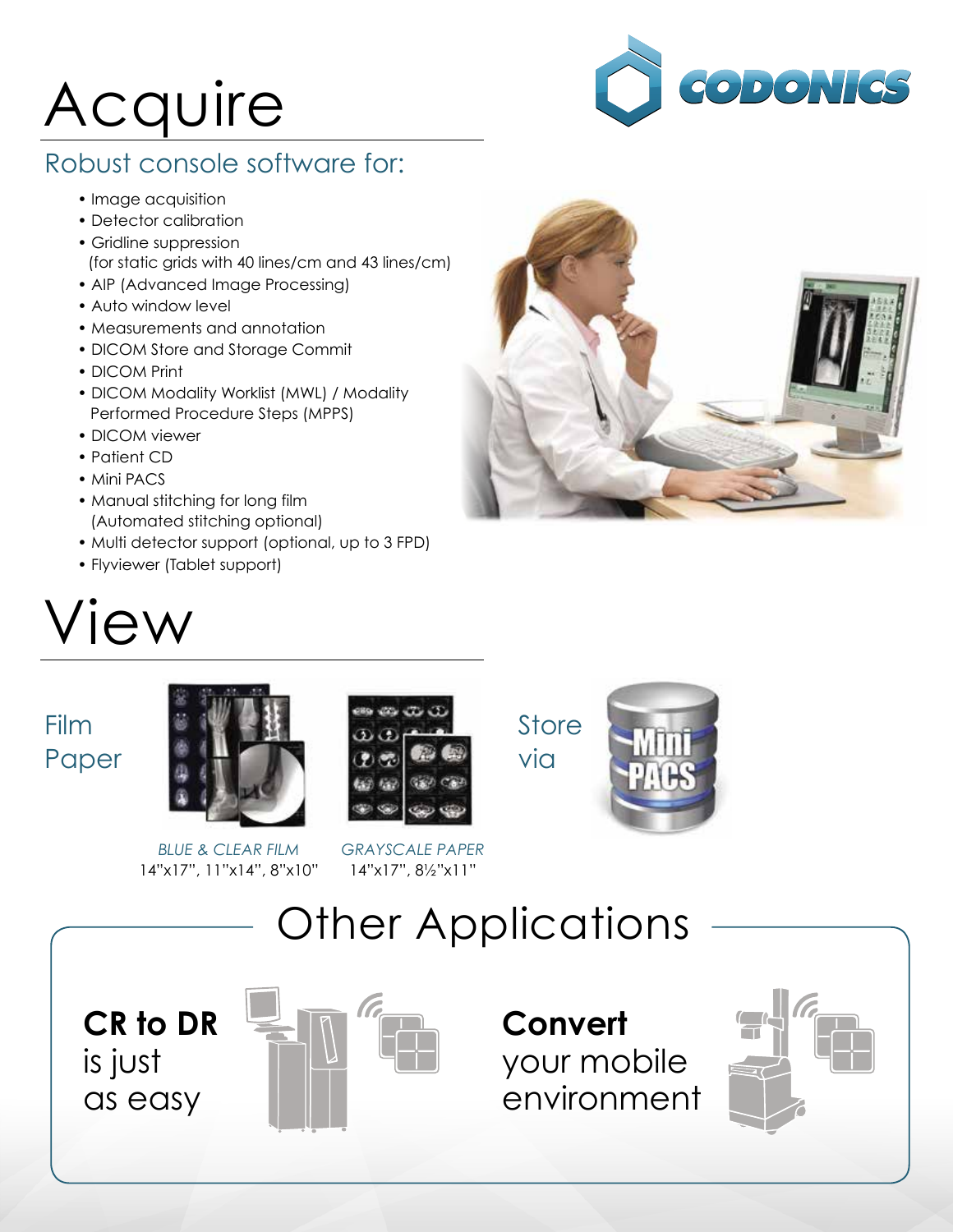# Acquire



#### Robust console software for:

- Image acquisition
- Detector calibration
- Gridline suppression (for static grids with 40 lines/cm and 43 lines/cm)
- AIP (Advanced Image Processing)
- Auto window level
- Measurements and annotation
- DICOM Store and Storage Commit
- DICOM Print
- DICOM Modality Worklist (MWL) / Modality Performed Procedure Steps (MPPS)
- DICOM viewer
- Patient CD
- Mini PACS
- Manual stitching for long film (Automated stitching optional)
- Multi detector support (optional, up to 3 FPD)
- Flyviewer (Tablet support)

## View



### Film Paper



*BLUE & CLEAR FILM* 14"x17", 11"x14", 8"x10"









**CR to DR** is just as easy



**Convert** your mobile environment